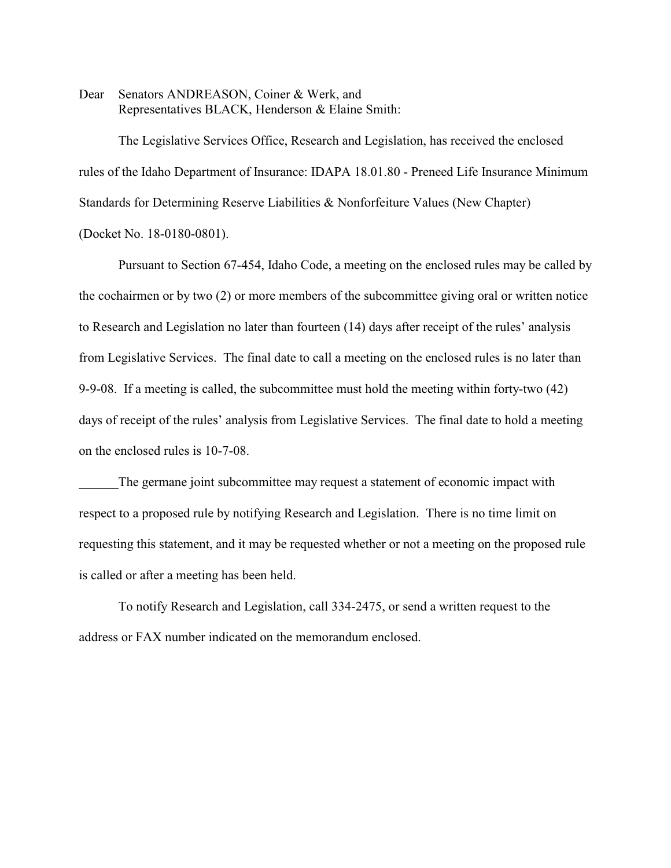Dear Senators ANDREASON, Coiner & Werk, and Representatives BLACK, Henderson & Elaine Smith:

The Legislative Services Office, Research and Legislation, has received the enclosed rules of the Idaho Department of Insurance: IDAPA 18.01.80 - Preneed Life Insurance Minimum Standards for Determining Reserve Liabilities & Nonforfeiture Values (New Chapter) (Docket No. 18-0180-0801).

Pursuant to Section 67-454, Idaho Code, a meeting on the enclosed rules may be called by the cochairmen or by two (2) or more members of the subcommittee giving oral or written notice to Research and Legislation no later than fourteen (14) days after receipt of the rules' analysis from Legislative Services. The final date to call a meeting on the enclosed rules is no later than 9-9-08. If a meeting is called, the subcommittee must hold the meeting within forty-two (42) days of receipt of the rules' analysis from Legislative Services. The final date to hold a meeting on the enclosed rules is 10-7-08.

The germane joint subcommittee may request a statement of economic impact with respect to a proposed rule by notifying Research and Legislation. There is no time limit on requesting this statement, and it may be requested whether or not a meeting on the proposed rule is called or after a meeting has been held.

To notify Research and Legislation, call 334-2475, or send a written request to the address or FAX number indicated on the memorandum enclosed.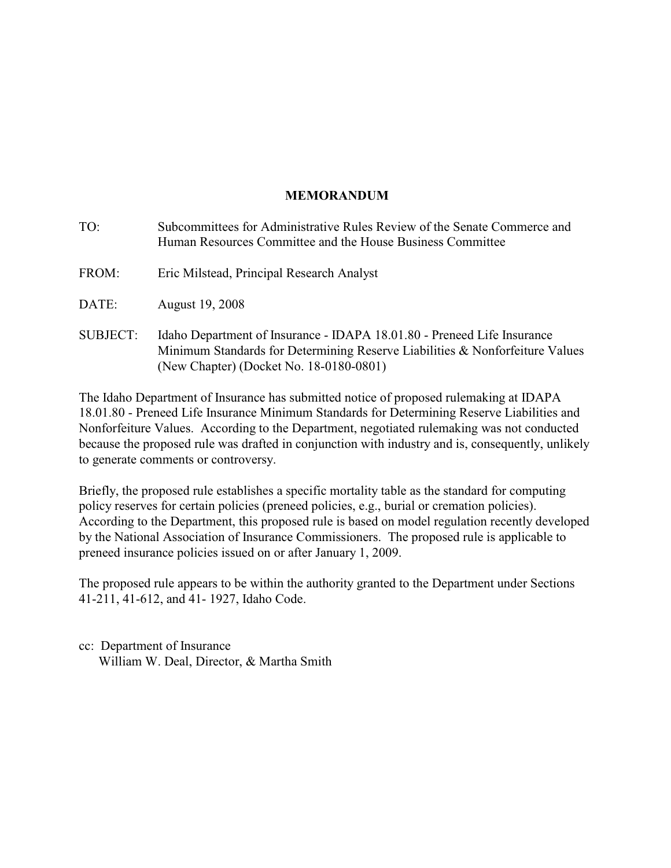# **MEMORANDUM**

| TO:             | Subcommittees for Administrative Rules Review of the Senate Commerce and<br>Human Resources Committee and the House Business Committee                                                             |
|-----------------|----------------------------------------------------------------------------------------------------------------------------------------------------------------------------------------------------|
| FROM:           | Eric Milstead, Principal Research Analyst                                                                                                                                                          |
| DATE:           | August 19, 2008                                                                                                                                                                                    |
| <b>SUBJECT:</b> | Idaho Department of Insurance - IDAPA 18.01.80 - Preneed Life Insurance<br>Minimum Standards for Determining Reserve Liabilities & Nonforfeiture Values<br>(New Chapter) (Docket No. 18-0180-0801) |

The Idaho Department of Insurance has submitted notice of proposed rulemaking at IDAPA 18.01.80 - Preneed Life Insurance Minimum Standards for Determining Reserve Liabilities and Nonforfeiture Values. According to the Department, negotiated rulemaking was not conducted because the proposed rule was drafted in conjunction with industry and is, consequently, unlikely to generate comments or controversy.

Briefly, the proposed rule establishes a specific mortality table as the standard for computing policy reserves for certain policies (preneed policies, e.g., burial or cremation policies). According to the Department, this proposed rule is based on model regulation recently developed by the National Association of Insurance Commissioners. The proposed rule is applicable to preneed insurance policies issued on or after January 1, 2009.

The proposed rule appears to be within the authority granted to the Department under Sections 41-211, 41-612, and 41- 1927, Idaho Code.

cc: Department of Insurance William W. Deal, Director, & Martha Smith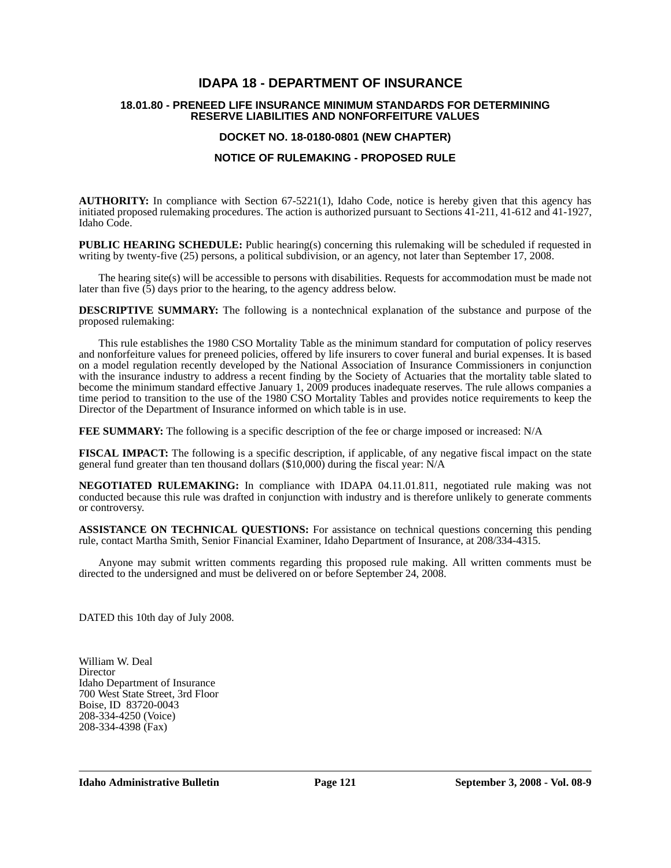# **IDAPA 18 - DEPARTMENT OF INSURANCE**

### **18.01.80 - PRENEED LIFE INSURANCE MINIMUM STANDARDS FOR DETERMINING RESERVE LIABILITIES AND NONFORFEITURE VALUES**

## **DOCKET NO. 18-0180-0801 (NEW CHAPTER)**

### **NOTICE OF RULEMAKING - PROPOSED RULE**

**AUTHORITY:** In compliance with Section 67-5221(1), Idaho Code, notice is hereby given that this agency has initiated proposed rulemaking procedures. The action is authorized pursuant to Sections 41-211, 41-612 and 41-1927, Idaho Code.

**PUBLIC HEARING SCHEDULE:** Public hearing(s) concerning this rulemaking will be scheduled if requested in writing by twenty-five (25) persons, a political subdivision, or an agency, not later than September 17, 2008.

The hearing site(s) will be accessible to persons with disabilities. Requests for accommodation must be made not later than five  $(5)$  days prior to the hearing, to the agency address below.

**DESCRIPTIVE SUMMARY:** The following is a nontechnical explanation of the substance and purpose of the proposed rulemaking:

This rule establishes the 1980 CSO Mortality Table as the minimum standard for computation of policy reserves and nonforfeiture values for preneed policies, offered by life insurers to cover funeral and burial expenses. It is based on a model regulation recently developed by the National Association of Insurance Commissioners in conjunction with the insurance industry to address a recent finding by the Society of Actuaries that the mortality table slated to become the minimum standard effective January 1, 2009 produces inadequate reserves. The rule allows companies a time period to transition to the use of the 1980 CSO Mortality Tables and provides notice requirements to keep the Director of the Department of Insurance informed on which table is in use.

**FEE SUMMARY:** The following is a specific description of the fee or charge imposed or increased: N/A

**FISCAL IMPACT:** The following is a specific description, if applicable, of any negative fiscal impact on the state general fund greater than ten thousand dollars (\$10,000) during the fiscal year: N/A

**NEGOTIATED RULEMAKING:** In compliance with IDAPA 04.11.01.811, negotiated rule making was not conducted because this rule was drafted in conjunction with industry and is therefore unlikely to generate comments or controversy.

**ASSISTANCE ON TECHNICAL QUESTIONS:** For assistance on technical questions concerning this pending rule, contact Martha Smith, Senior Financial Examiner, Idaho Department of Insurance, at 208/334-4315.

Anyone may submit written comments regarding this proposed rule making. All written comments must be directed to the undersigned and must be delivered on or before September 24, 2008.

DATED this 10th day of July 2008.

William W. Deal **Director** Idaho Department of Insurance 700 West State Street, 3rd Floor Boise, ID 83720-0043 208-334-4250 (Voice) 208-334-4398 (Fax)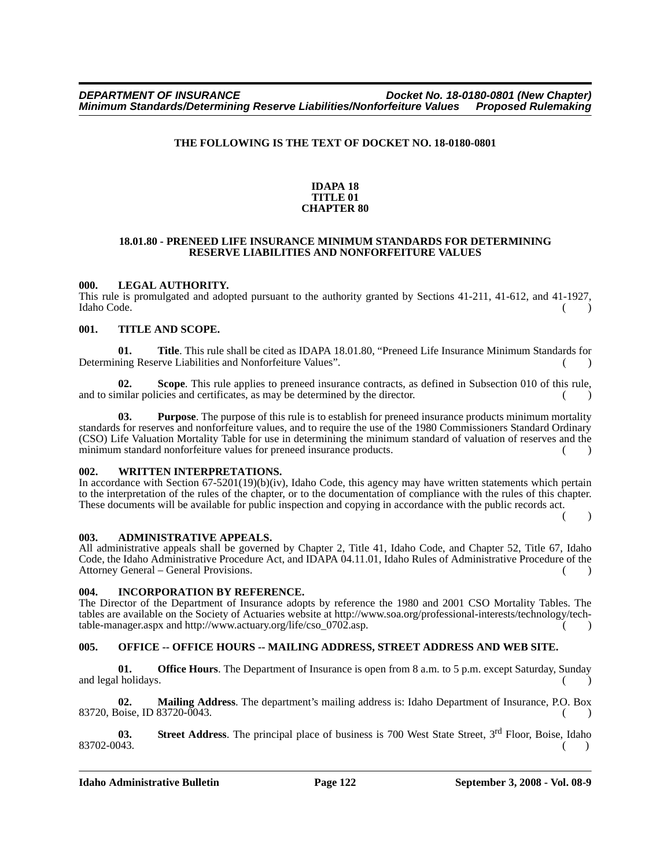### **THE FOLLOWING IS THE TEXT OF DOCKET NO. 18-0180-0801**

#### **IDAPA 18 TITLE 01 CHAPTER 80**

#### **18.01.80 - PRENEED LIFE INSURANCE MINIMUM STANDARDS FOR DETERMINING RESERVE LIABILITIES AND NONFORFEITURE VALUES**

### **000. LEGAL AUTHORITY.**

This rule is promulgated and adopted pursuant to the authority granted by Sections 41-211, 41-612, and 41-1927, Idaho Code. Idaho Code. ( )

### **001. TITLE AND SCOPE.**

**01. Title**. This rule shall be cited as IDAPA 18.01.80, "Preneed Life Insurance Minimum Standards for Determining Reserve Liabilities and Nonforfeiture Values".

**02. Scope**. This rule applies to preneed insurance contracts, as defined in Subsection 010 of this rule, and to similar policies and certificates, as may be determined by the director.

**03. Purpose**. The purpose of this rule is to establish for preneed insurance products minimum mortality standards for reserves and nonforfeiture values, and to require the use of the 1980 Commissioners Standard Ordinary (CSO) Life Valuation Mortality Table for use in determining the minimum standard of valuation of reserves and the minimum standard nonforfeiture values for preneed insurance products.

### **002. WRITTEN INTERPRETATIONS.**

In accordance with Section 67-5201(19)(b)(iv), Idaho Code, this agency may have written statements which pertain to the interpretation of the rules of the chapter, or to the documentation of compliance with the rules of this chapter. These documents will be available for public inspection and copying in accordance with the public records act.

 $\lambda$ 

### **003. ADMINISTRATIVE APPEALS.**

All administrative appeals shall be governed by Chapter 2, Title 41, Idaho Code, and Chapter 52, Title 67, Idaho Code, the Idaho Administrative Procedure Act, and IDAPA 04.11.01, Idaho Rules of Administrative Procedure of the Attorney General – General Provisions.

### **004. INCORPORATION BY REFERENCE.**

[The Director of the Department of Insurance adopts by reference the 1980 and 2001 CSO Mortality Tables. The](http://www.soa.org/professional-interests/technology/tech-table-manager.aspx)  tables are available on the Society of Actuaries website at http://www.soa.org/professional-interests/technology/tech[table-manager.aspx and h](http://www.soa.org/professional-interests/technology/tech-table-manager.aspx)[ttp://www.actuary.org/life/cso\\_0702.asp. \( \)](http://www.actuary.org/life/cso_0702.asp)

## **005. OFFICE -- OFFICE HOURS -- MAILING ADDRESS, STREET ADDRESS AND WEB SITE.**

**01.** Office Hours. The Department of Insurance is open from 8 a.m. to 5 p.m. except Saturday, Sunday and legal holidays.

**02. Mailing Address**. The department's mailing address is: Idaho Department of Insurance, P.O. Box 83720, Boise, ID 83720-0043. ( )

**03.** Street Address. The principal place of business is 700 West State Street, 3<sup>rd</sup> Floor, Boise, Idaho 83702-0043. ( )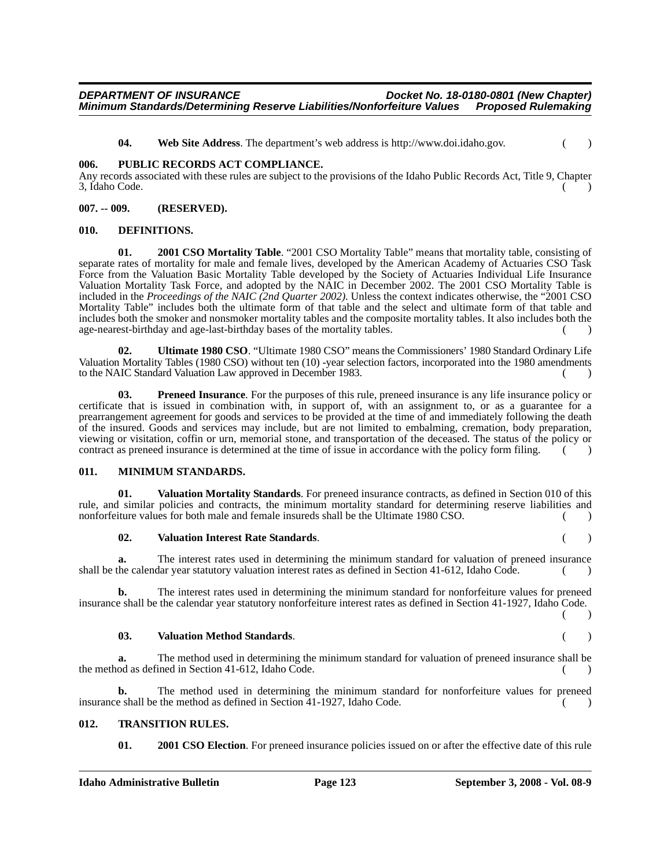### *DEPARTMENT OF INSURANCE Docket No. 18-0180-0801 (New Chapter) Minimum Standards/Determining Reserve Liabilities/Nonforfeiture Values*

**04. Web Site Address**[. The department's web address is http://www.doi.idaho.gov. \( \)](http://www.doi.idaho.gov)

#### **006. PUBLIC RECORDS ACT COMPLIANCE.**

Any records associated with these rules are subject to the provisions of the Idaho Public Records Act, Title 9, Chapter 3, Idaho Code. ( )

#### **007. -- 009. (RESERVED).**

#### **010. DEFINITIONS.**

**01. 2001 CSO Mortality Table**. "2001 CSO Mortality Table" means that mortality table, consisting of separate rates of mortality for male and female lives, developed by the American Academy of Actuaries CSO Task Force from the Valuation Basic Mortality Table developed by the Society of Actuaries Individual Life Insurance Valuation Mortality Task Force, and adopted by the NAIC in December 2002. The 2001 CSO Mortality Table is included in the *Proceedings of the NAIC (2nd Quarter 2002)*. Unless the context indicates otherwise, the "2001 CSO Mortality Table" includes both the ultimate form of that table and the select and ultimate form of that table and includes both the smoker and nonsmoker mortality tables and the composite mortality tables. It also includes both the age-nearest-birthday and age-last-birthday bases of the mortality tables. () ()

**02. Ultimate 1980 CSO**. "Ultimate 1980 CSO" means the Commissioners' 1980 Standard Ordinary Life Valuation Mortality Tables (1980 CSO) without ten (10) -year selection factors, incorporated into the 1980 amendments to the NAIC Standard Valuation Law approved in December 1983. ( )

**03.** Preneed Insurance. For the purposes of this rule, preneed insurance is any life insurance policy or certificate that is issued in combination with, in support of, with an assignment to, or as a guarantee for a prearrangement agreement for goods and services to be provided at the time of and immediately following the death of the insured. Goods and services may include, but are not limited to embalming, cremation, body preparation, viewing or visitation, coffin or urn, memorial stone, and transportation of the deceased. The status of the policy or contract as preneed insurance is determined at the time of issue in accordance with the policy form filing.  $($ 

### **011. MINIMUM STANDARDS.**

**01. Valuation Mortality Standards**. For preneed insurance contracts, as defined in Section 010 of this rule, and similar policies and contracts, the minimum mortality standard for determining reserve liabilities and nonforfeiture values for both male and female insureds shall be the Ultimate 1980 CSO. ()

#### **02. Valuation Interest Rate Standards**. ( )

**a.** The interest rates used in determining the minimum standard for valuation of preneed insurance shall be the calendar year statutory valuation interest rates as defined in Section 41-612, Idaho Code.

**b.** The interest rates used in determining the minimum standard for nonforfeiture values for preneed insurance shall be the calendar year statutory nonforfeiture interest rates as defined in Section 41-1927, Idaho Code.

#### **03. Valuation Method Standards**. ( )

**a.** The method used in determining the minimum standard for valuation of preneed insurance shall be the method as defined in Section 41-612, Idaho Code. ( )

**b.** The method used in determining the minimum standard for nonforfeiture values for preneed insurance shall be the method as defined in Section  $\overline{41-1927}$ , Idaho Code.  $\qquad \qquad$  ()

### **012. TRANSITION RULES.**

**01.** 2001 CSO Election. For preneed insurance policies issued on or after the effective date of this rule

 $($